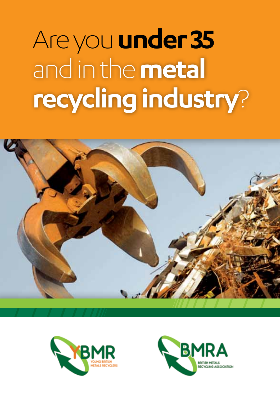# Are you **under 35** and in the **metal recycling industry**?